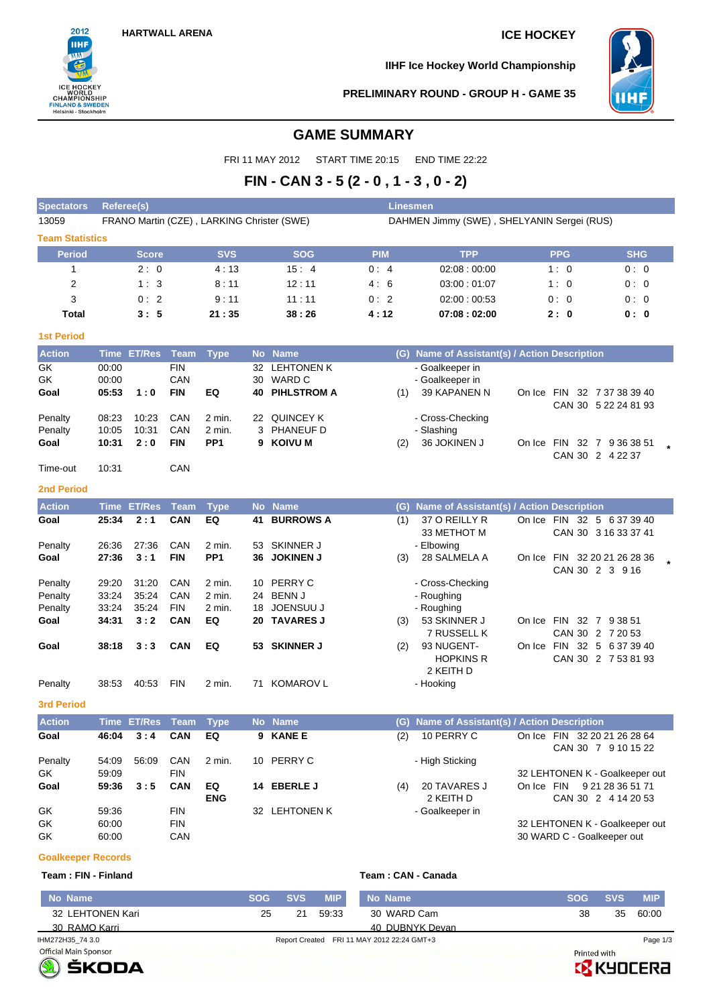

**IIHF Ice Hockey World Championship**



### **PRELIMINARY ROUND - GROUP H - GAME 35**

# **GAME SUMMARY**

FRI 11 MAY 2012 START TIME 20:15 END TIME 22:22

# **FIN - CAN 3 - 5 (2 - 0 , 1 - 3 , 0 - 2)**

| <b>Spectators</b>         | Referee(s) |                    |             |                                            |           |                           | <b>Linesmen</b>                            |                                               |            |            |                                                 |  |  |  |  |
|---------------------------|------------|--------------------|-------------|--------------------------------------------|-----------|---------------------------|--------------------------------------------|-----------------------------------------------|------------|------------|-------------------------------------------------|--|--|--|--|
| 13059                     |            |                    |             | FRANO Martin (CZE), LARKING Christer (SWE) |           |                           | DAHMEN Jimmy (SWE), SHELYANIN Sergei (RUS) |                                               |            |            |                                                 |  |  |  |  |
| <b>Team Statistics</b>    |            |                    |             |                                            |           |                           |                                            |                                               |            |            |                                                 |  |  |  |  |
| <b>Period</b>             |            | <b>Score</b>       |             | <b>SVS</b>                                 |           | <b>SOG</b>                | <b>PIM</b>                                 | <b>TPP</b>                                    |            | <b>PPG</b> | <b>SHG</b>                                      |  |  |  |  |
| 1                         |            | 2:0                |             | 4:13                                       |           | 15:4                      | 0:4                                        | 02:08:00:00                                   |            | 1:0        | 0:0                                             |  |  |  |  |
| 2                         |            | 1:3                |             | 8:11                                       |           | 12:11                     | 4:6                                        | 03:00:01:07                                   |            | 1:0        | 0:0                                             |  |  |  |  |
| 3                         |            | 0:2                |             | 9:11                                       |           | 11:11                     | 0:2                                        | 02:00:00:53                                   |            | 0:0        | 0: 0                                            |  |  |  |  |
| <b>Total</b>              |            | 3:5                |             | 21:35                                      |           | 38:26                     | 4:12                                       | 07:08:02:00                                   |            | 2:0        | 0: 0                                            |  |  |  |  |
| <b>1st Period</b>         |            |                    |             |                                            |           |                           |                                            |                                               |            |            |                                                 |  |  |  |  |
| <b>Action</b>             |            | Time ET/Res        | <b>Team</b> | <b>Type</b>                                | <b>No</b> | <b>Name</b>               | (G)                                        | Name of Assistant(s) / Action Description     |            |            |                                                 |  |  |  |  |
| GK                        | 00:00      |                    | <b>FIN</b>  |                                            | 32        | <b>LEHTONEN K</b>         |                                            | - Goalkeeper in                               |            |            |                                                 |  |  |  |  |
| GK                        | 00:00      |                    | CAN         |                                            | 30        | <b>WARD C</b>             |                                            | - Goalkeeper in                               |            |            |                                                 |  |  |  |  |
| Goal                      | 05:53      | 1:0                | <b>FIN</b>  | EQ                                         |           | <b>40 PIHLSTROM A</b>     | (1)                                        | 39 KAPANEN N                                  |            |            | On Ice FIN 32 7 37 38 39 40                     |  |  |  |  |
| Penalty                   | 08:23      | 10:23              | CAN         | 2 min.                                     |           | 22 QUINCEY K              |                                            | - Cross-Checking                              |            |            | CAN 30 5 22 24 81 93                            |  |  |  |  |
| Penalty                   | 10:05      | 10:31              | CAN         | 2 min.                                     |           | 3 PHANEUF D               |                                            | - Slashing                                    |            |            |                                                 |  |  |  |  |
| Goal                      | 10:31      | 2:0                | FIN         | PP <sub>1</sub>                            |           | 9 KOIVU M                 | (2)                                        | 36 JOKINEN J                                  | On Ice     |            | FIN 32 7 9 36 38 51                             |  |  |  |  |
|                           |            |                    |             |                                            |           |                           |                                            |                                               |            |            | CAN 30 2 4 22 37                                |  |  |  |  |
| Time-out                  | 10:31      |                    | CAN         |                                            |           |                           |                                            |                                               |            |            |                                                 |  |  |  |  |
| 2nd Period                |            |                    |             |                                            |           |                           |                                            |                                               |            |            |                                                 |  |  |  |  |
| <b>Action</b>             |            | <b>Time ET/Res</b> | <b>Team</b> | <b>Type</b>                                | <b>No</b> | <b>Name</b>               | (G)                                        | Name of Assistant(s) / Action Description     |            |            |                                                 |  |  |  |  |
| Goal                      | 25:34      | 2:1                | CAN         | EQ                                         | 41        | <b>BURROWS A</b>          | (1)                                        | 37 O REILLY R                                 |            |            | On Ice FIN 32 5 6 37 39 40                      |  |  |  |  |
|                           |            |                    |             |                                            |           |                           |                                            | 33 METHOT M                                   |            |            | CAN 30 3 16 33 37 41                            |  |  |  |  |
| Penalty                   | 26:36      | 27:36              | CAN         | 2 min.<br>PP <sub>1</sub>                  | 53        | <b>SKINNER J</b>          |                                            | - Elbowing                                    |            |            |                                                 |  |  |  |  |
| Goal                      | 27:36      | 3:1                | FIN         |                                            |           | 36 JOKINEN J              | (3)                                        | 28 SALMELA A                                  |            |            | On Ice FIN 32 20 21 26 28 36<br>CAN 30 2 3 9 16 |  |  |  |  |
| Penalty                   | 29:20      | 31:20              | CAN         | 2 min.                                     | 10        | PERRY C                   |                                            | - Cross-Checking                              |            |            |                                                 |  |  |  |  |
| Penalty                   | 33:24      | 35:24              | CAN         | 2 min.                                     | 24        | <b>BENN J</b>             |                                            | - Roughing                                    |            |            |                                                 |  |  |  |  |
| Penalty                   | 33:24      | 35:24              | <b>FIN</b>  | 2 min.                                     |           | 18 JOENSUU J              |                                            | - Roughing                                    |            |            |                                                 |  |  |  |  |
| Goal                      | 34:31      | 3:2                | <b>CAN</b>  | EQ                                         |           | 20 TAVARES J              | (3)                                        | 53 SKINNER J                                  |            |            | On Ice FIN 32 7 9 38 51                         |  |  |  |  |
| Goal                      | 38:18      | 3:3                | <b>CAN</b>  | EQ                                         |           | 53 SKINNER J              | (2)                                        | 7 RUSSELL K<br>93 NUGENT-                     |            |            | CAN 30 2 7 20 53<br>On Ice FIN 32 5 6 37 39 40  |  |  |  |  |
|                           |            |                    |             |                                            |           |                           |                                            | <b>HOPKINS R</b>                              |            |            | CAN 30 2 7 53 81 93                             |  |  |  |  |
|                           |            |                    |             |                                            |           |                           |                                            | 2 KEITH D                                     |            |            |                                                 |  |  |  |  |
| Penalty                   | 38:53      | 40:53              | <b>FIN</b>  | $2$ min.                                   | 71        | <b>KOMAROV L</b>          |                                            | - Hooking                                     |            |            |                                                 |  |  |  |  |
| <b>3rd Period</b>         |            |                    |             |                                            |           |                           |                                            |                                               |            |            |                                                 |  |  |  |  |
| <b>Action</b>             |            | Time ET/Res        | Team        | <b>Type</b>                                |           | No Name                   |                                            | (G) Name of Assistant(s) / Action Description |            |            |                                                 |  |  |  |  |
| Goal                      | 46:04      | 3:4                | <b>CAN</b>  | EQ                                         |           | 9 KANE E                  | (2)                                        | 10 PERRY C                                    |            |            | On Ice FIN 32 20 21 26 28 64                    |  |  |  |  |
|                           |            |                    |             |                                            |           |                           |                                            |                                               |            |            | CAN 30 7 9 10 15 22                             |  |  |  |  |
| Penalty                   | 54:09      | 56:09              | CAN         | 2 min.                                     |           | 10 PERRY C                |                                            | - High Sticking                               |            |            |                                                 |  |  |  |  |
| GK                        | 59:09      |                    | <b>FIN</b>  |                                            |           |                           |                                            |                                               |            |            | 32 LEHTONEN K - Goalkeeper out                  |  |  |  |  |
| Goal                      | 59:36      | 3:5                | <b>CAN</b>  | EQ<br><b>ENG</b>                           |           | 14 EBERLE J               | (4)                                        | 20 TAVARES J<br>2 KEITH D                     | On Ice FIN |            | 9 21 28 36 51 71<br>CAN 30 2 4 14 20 53         |  |  |  |  |
| GK                        | 59:36      |                    | <b>FIN</b>  |                                            |           | 32 LEHTONEN K             |                                            | - Goalkeeper in                               |            |            |                                                 |  |  |  |  |
| GK                        | 60:00      |                    | <b>FIN</b>  |                                            |           |                           |                                            |                                               |            |            | 32 LEHTONEN K - Goalkeeper out                  |  |  |  |  |
| GK                        | 60:00      |                    | CAN         |                                            |           |                           |                                            |                                               |            |            | 30 WARD C - Goalkeeper out                      |  |  |  |  |
| <b>Goalkeeper Records</b> |            |                    |             |                                            |           |                           |                                            |                                               |            |            |                                                 |  |  |  |  |
| Team: FIN - Finland       |            |                    |             |                                            |           |                           |                                            | Team: CAN - Canada                            |            |            |                                                 |  |  |  |  |
| No Name                   |            |                    |             |                                            |           | $PUS = POS$<br><b>MIP</b> | No Name                                    |                                               |            |            | <b>MIP</b><br>SOG SVS                           |  |  |  |  |

**No Name SOG SVS MIP No Name SOG SVS MIP** 38 35 60:00 25 21 59:33 32 LEHTONEN Kari 30 WARD Cam 30 RAMO Karri 40 DUBNYK Devan IHM272H35\_74 3.0 Report Created FRI 11 MAY 2012 22:24 GMT+3 Page 1/3Printed with



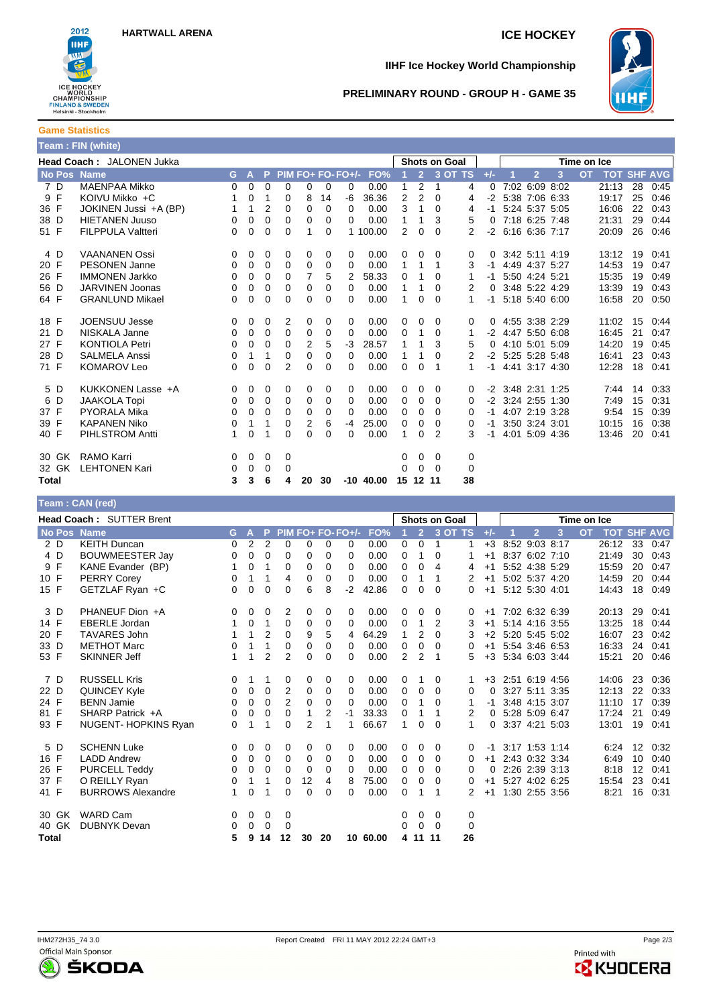

## **IIHF Ice Hockey World Championship**



### **PRELIMINARY ROUND - GROUP H - GAME 35**

**Game Statistics Team : FIN (white)**

|                    | <b>Team: Fin (white)</b>         |          |              |                |          |                |          |                   |              |          |                |                      |           |          |                     |   |             |                    |    |      |
|--------------------|----------------------------------|----------|--------------|----------------|----------|----------------|----------|-------------------|--------------|----------|----------------|----------------------|-----------|----------|---------------------|---|-------------|--------------------|----|------|
|                    | <b>Head Coach: JALONEN Jukka</b> |          |              |                |          |                |          |                   |              |          |                | <b>Shots on Goal</b> |           |          |                     |   | Time on Ice |                    |    |      |
| <b>No Pos Name</b> |                                  | G.       | $\mathbf{A}$ | P.             |          |                |          | PIM FO+ FO- FO+/- | FO%          |          | 2 <sup>7</sup> |                      | $3$ OT TS | $+/-$    | $\overline{2}$      | 3 | <b>OT</b>   | <b>TOT SHF AVG</b> |    |      |
| 7 D                | <b>MAENPAA Mikko</b>             | $\Omega$ | 0            | $\Omega$       | $\Omega$ | 0              | $\Omega$ | 0                 | 0.00         | 1        | $\overline{2}$ | 1                    | 4         | $\Omega$ | 7:02 6:09 8:02      |   |             | 21:13              | 28 | 0:45 |
| 9 F                | KOIVU Mikko +C                   |          | 0            | 1              | 0        | 8              | 14       | -6                | 36.36        | 2        | $\overline{2}$ | $\Omega$             | 4         | $-2$     | 5:38 7:06 6:33      |   |             | 19:17              | 25 | 0:46 |
| 36 F               | JOKINEN Jussi +A (BP)            |          | 1            | $\overline{2}$ | 0        | 0              | $\Omega$ | 0                 | 0.00         | 3        | 1              | $\Omega$             | 4         | -1       | 5:24 5:37 5:05      |   |             | 16:06              | 22 | 0:43 |
| 38 D               | <b>HIETANEN Juuso</b>            | 0        | 0            | 0              | 0        | 0              | $\Omega$ | $\Omega$          | 0.00         | 1        | 1              | 3                    | 5         | 0        | 7:18 6:25 7:48      |   |             | 21:31              | 29 | 0:44 |
| 51 F               | <b>FILPPULA Valtteri</b>         | $\Omega$ | 0            | $\Omega$       | 0        | 1              | $\Omega$ |                   | 1 100.00     | 2        | 0              | $\Omega$             | 2         | $-2$     | 6:16 6:36 7:17      |   |             | 20:09              | 26 | 0:46 |
| 4 D                | <b>VAANANEN Ossi</b>             | $\Omega$ | 0            | 0              | 0        | 0              | 0        | $\Omega$          | 0.00         | 0        | $\Omega$       | $\Omega$             | 0         | 0        | 3:42 5:11 4:19      |   |             | 13:12              | 19 | 0:41 |
| 20 F               | <b>PESONEN Janne</b>             | $\Omega$ | 0            | 0              | $\Omega$ | 0              | $\Omega$ | $\Omega$          | 0.00         | 1        | 1              | 1                    | 3         | -1       | 4:49 4:37 5:27      |   |             | 14:53              | 19 | 0:47 |
| 26 F               | <b>IMMONEN Jarkko</b>            | $\Omega$ | 0            | $\Omega$       | $\Omega$ | 7              | 5        | 2                 | 58.33        | 0        | 1              | 0                    | 1         | $-1$     | 5:50 4:24 5:21      |   |             | 15:35              | 19 | 0:49 |
| 56 D               | <b>JARVINEN Joonas</b>           | 0        | 0            | 0              | 0        | 0              | 0        | 0                 | 0.00         | 1        | 1              | $\Omega$             | 2         | 0        | 3:48 5:22 4:29      |   |             | 13:39              | 19 | 0:43 |
| 64 F               | <b>GRANLUND Mikael</b>           | 0        | 0            | 0              | 0        | 0              | $\Omega$ | 0                 | 0.00         | 1        | 0              | $\Omega$             | 1         | $-1$     | 5:18 5:40 6:00      |   |             | 16:58              | 20 | 0:50 |
| 18 F               | <b>JOENSUU Jesse</b>             | $\Omega$ | 0            | 0              | 2        | 0              | 0        | $\Omega$          | 0.00         | 0        | $\Omega$       | 0                    | 0         | 0        | 4:55 3:38 2:29      |   |             | 11:02              | 15 | 0:44 |
| 21 D               | NISKALA Janne                    | $\Omega$ | 0            | $\Omega$       | $\Omega$ | 0              | $\Omega$ | $\Omega$          | 0.00         | 0        | 1              | $\Omega$             | 1         |          | $-2$ 4:47 5:50 6:08 |   |             | 16:45              | 21 | 0:47 |
| 27 F               | <b>KONTIOLA Petri</b>            | 0        | 0            | $\Omega$       | $\Omega$ | $\overline{2}$ | 5        | $-3$              | 28.57        | 1        | 1              | 3                    | 5         | 0        | 4:10 5:01 5:09      |   |             | 14:20              | 19 | 0:45 |
| 28 D               | <b>SALMELA Anssi</b>             | 0        | 1            | 1              | 0        | 0              | $\Omega$ | $\Omega$          | 0.00         | 1        | 1              | $\Omega$             | 2         | $-2$     | 5:25 5:28 5:48      |   |             | 16:41              | 23 | 0:43 |
| 71 F               | <b>KOMAROV Leo</b>               | 0        | 0            | $\Omega$       | 2        | 0              | $\Omega$ | 0                 | 0.00         | 0        | 0              | 1                    | 1         | $-1$     | 4:41 3:17 4:30      |   |             | 12:28              | 18 | 0:41 |
| 5 D                | KUKKONEN Lasse +A                | $\Omega$ | 0            | 0              | $\Omega$ | 0              | $\Omega$ | $\Omega$          | 0.00         | 0        | 0              | $\Omega$             | 0         |          | $-2$ 3:48 2:31 1:25 |   |             | 7:44               | 14 | 0:33 |
| D<br>6             | <b>JAAKOLA Topi</b>              | $\Omega$ | 0            | 0              | $\Omega$ | 0              | 0        | $\Omega$          | 0.00         | 0        | $\Omega$       | $\Omega$             | 0         | -2       | 3:24 2:55 1:30      |   |             | 7:49               | 15 | 0:31 |
| 37 F               | <b>PYORALA Mika</b>              | 0        | 0            | 0              | 0        | 0              | 0        | $\Omega$          | 0.00         | 0        | 0              | $\Omega$             | 0         | -1       | 4:07 2:19 3:28      |   |             | 9:54               | 15 | 0:39 |
| 39 F               | <b>KAPANEN Niko</b>              | 0        | 1            | 1              | 0        | 2              | 6        | -4                | 25.00        | $\Omega$ | 0              | $\Omega$             | 0         | -1       | 3:50 3:24 3:01      |   |             | 10:15              | 16 | 0:38 |
| 40 F               | PIHLSTROM Antti                  | 1        | 0            |                | 0        | 0              | $\Omega$ | 0                 | 0.00         | 1        | $\Omega$       | 2                    | 3         | -1       | 4:01 5:09 4:36      |   |             | 13:46              | 20 | 0:41 |
| 30 GK              | RAMO Karri                       | 0        | 0            | 0              | 0        |                |          |                   |              | 0        | 0              | 0                    | 0         |          |                     |   |             |                    |    |      |
| 32 GK              | <b>LEHTONEN Kari</b>             | 0        | 0            | 0              | $\Omega$ |                |          |                   |              | 0        | $\Omega$       | $\Omega$             | 0         |          |                     |   |             |                    |    |      |
| Total              |                                  | 3        | 3            | 6              | 4        | 20             | 30       |                   | $-10, 40.00$ | 15       | 12 11          |                      | 38        |          |                     |   |             |                    |    |      |

|                    | Team: CAN (red)                 |              |             |                |          |                |          |                   |          |                |                |          |                      |       |                     |                |   |             |                    |                   |      |
|--------------------|---------------------------------|--------------|-------------|----------------|----------|----------------|----------|-------------------|----------|----------------|----------------|----------|----------------------|-------|---------------------|----------------|---|-------------|--------------------|-------------------|------|
|                    | <b>Head Coach: SUTTER Brent</b> |              |             |                |          |                |          |                   |          |                |                |          | <b>Shots on Goal</b> |       |                     |                |   | Time on Ice |                    |                   |      |
| <b>No Pos Name</b> |                                 | G            | A           | P              |          |                |          | PIM FO+ FO- FO+/- | FO%      |                | $\overline{2}$ |          | $3$ OT TS            | $+/-$ |                     | $\overline{2}$ | 3 | <b>OT</b>   | <b>TOT SHF AVG</b> |                   |      |
| 2 D                | <b>KEITH Duncan</b>             | $\Omega$     | 2           | 2              | $\Omega$ | 0              | $\Omega$ | 0                 | 0.00     | $\mathbf{0}$   | 0              | 1        | 1                    | $+3$  |                     | 8:52 9:03 8:17 |   |             | 26:12              | 33                | 0:47 |
| 4 D                | <b>BOUWMEESTER Jay</b>          | 0            | 0           | 0              | 0        | 0              | 0        | 0                 | 0.00     | 0              | 1              | 0        | 1                    | $+1$  |                     | 8:37 6:02 7:10 |   |             | 21:49              | 30                | 0:43 |
| 9 F                | KANE Evander (BP)               | 1            | 0           | 1              | $\Omega$ | 0              | $\Omega$ | 0                 | 0.00     | $\mathbf 0$    | $\mathbf 0$    | 4        | 4                    | $+1$  |                     | 5:52 4:38 5:29 |   |             | 15:59              | 20                | 0:47 |
| 10 F               | <b>PERRY Corey</b>              | 0            | 1           | 1              | 4        | 0              | 0        | $\mathbf 0$       | 0.00     | 0              | 1              | 1        | 2                    | $+1$  |                     | 5:02 5:37 4:20 |   |             | 14:59              | 20                | 0:44 |
| 15 F               | GETZLAF Ryan +C                 | 0            | 0           | 0              | 0        | 6              | 8        | $-2$              | 42.86    | $\overline{0}$ | 0              | 0        | 0                    | $+1$  |                     | 5:12 5:30 4:01 |   |             | 14:43              | 18                | 0:49 |
| 3 D                | PHANEUF Dion +A                 | $\Omega$     | 0           | 0              | 2        | 0              | 0        | 0                 | 0.00     | 0              | 0              | 0        | 0                    | $+1$  |                     | 7:02 6:32 6:39 |   |             | 20:13              | 29                | 0:41 |
| 14 F               | <b>EBERLE</b> Jordan            | 1            | 0           | 1              | 0        | 0              | 0        | 0                 | 0.00     | 0              | 1              | 2        | 3                    | $+1$  |                     | 5:14 4:16 3:55 |   |             | 13:25              | 18                | 0:44 |
| 20 F               | <b>TAVARES John</b>             | 1            | 1           | $\overline{2}$ | 0        | 9              | 5        | 4                 | 64.29    | 1              | $\overline{2}$ | 0        | 3                    | $+2$  |                     | 5:20 5:45 5:02 |   |             | 16:07              | 23                | 0:42 |
| 33 D               | <b>METHOT Marc</b>              | 0            | 1           | 1              | 0        | 0              | 0        | 0                 | 0.00     | 0              | 0              | $\Omega$ | 0                    | $+1$  |                     | 5:54 3:46 6:53 |   |             | 16:33              | 24                | 0:41 |
| 53 F               | <b>SKINNER Jeff</b>             | 1            | 1           | $\overline{2}$ | 2        | 0              | $\Omega$ | 0                 | 0.00     | 2              | $\overline{2}$ | 1        | 5                    | $+3$  |                     | 5:34 6:03 3:44 |   |             | 15:21              | 20                | 0:46 |
| 7 D                | <b>RUSSELL Kris</b>             | 0            | 1           | 1              | 0        | 0              | 0        | 0                 | 0.00     | 0              | 1              | 0        |                      |       | $+3$ 2:51 6:19 4:56 |                |   |             | 14:06              | 23                | 0:36 |
| 22 D               | <b>QUINCEY Kyle</b>             | 0            | 0           | 0              | 2        | 0              | 0        | $\mathbf 0$       | 0.00     | 0              | 0              | $\Omega$ | 0                    | 0     |                     | 3:27 5:11 3:35 |   |             | 12:13              | 22                | 0:33 |
| 24 F               | <b>BENN Jamie</b>               | 0            | 0           | 0              | 2        | 0              | 0        | $\mathbf 0$       | 0.00     | 0              | 1              | 0        |                      | $-1$  |                     | 3:48 4:15 3:07 |   |             | 11:10              | 17                | 0:39 |
| 81 F               | SHARP Patrick +A                | 0            | 0           | 0              | 0        | 1              | 2        | $-1$              | 33.33    | 0              | 1              |          | 2                    | 0     |                     | 5:28 5:09 6:47 |   |             | 17:24              | 21                | 0:49 |
| 93 F               | NUGENT-HOPKINS Ryan             | 0            | 1           | 1              | 0        | $\overline{2}$ |          | 1                 | 66.67    | 1              | 0              | $\Omega$ | $\mathbf{1}$         | 0     | 3:37 4:21 5:03      |                |   |             | 13:01              | 19                | 0:41 |
| 5 D                | <b>SCHENN Luke</b>              | $\Omega$     | 0           | 0              | 0        | 0              | 0        | 0                 | 0.00     | $\mathbf 0$    | 0              | 0        | 0                    | -1    |                     | 3:17 1:53 1:14 |   |             | 6:24               | $12 \overline{ }$ | 0:32 |
| 16 F               | <b>LADD Andrew</b>              | $\Omega$     | 0           | 0              | 0        | 0              | 0        | $\Omega$          | 0.00     | $\mathbf{0}$   | 0              | $\Omega$ | 0                    | $+1$  |                     | 2:43 0:32 3:34 |   |             | 6:49               | 10                | 0:40 |
| 26 F               | <b>PURCELL Teddy</b>            | 0            | 0           | 0              | 0        | 0              | 0        | 0                 | 0.00     | 0              | 0              | 0        | $\Omega$             | 0     |                     | 2:26 2:39 3:13 |   |             | 8:18               | 12                | 0:41 |
| 37 F               | O REILLY Ryan                   | 0            | 1           | 1              | 0        | 12             | 4        | 8                 | 75.00    | 0              | 0              | 0        | 0                    | $+1$  |                     | 5:27 4:02 6:25 |   |             | 15:54              | 23                | 0:41 |
| 41 F               | <b>BURROWS Alexandre</b>        | $\mathbf{1}$ | $\mathbf 0$ | 1              | 0        | 0              | 0        | 0                 | 0.00     | 0              | 1              | 1        | 2                    | $+1$  |                     | 1:30 2:55 3:56 |   |             | 8:21               | 16                | 0:31 |
| 30 GK              | <b>WARD Cam</b>                 | 0            | 0           | 0              | 0        |                |          |                   |          | 0              | 0              | 0        | 0                    |       |                     |                |   |             |                    |                   |      |
| 40 GK              | <b>DUBNYK Devan</b>             | 0            | $\mathbf 0$ | $\mathbf 0$    | 0        |                |          |                   |          | 0              | 0              | $\Omega$ | $\mathbf 0$          |       |                     |                |   |             |                    |                   |      |
| Total              |                                 | 5            | 9           | 14             | 12       | 30             | 20       |                   | 10 60.00 |                | 4 11 11        |          | 26                   |       |                     |                |   |             |                    |                   |      |